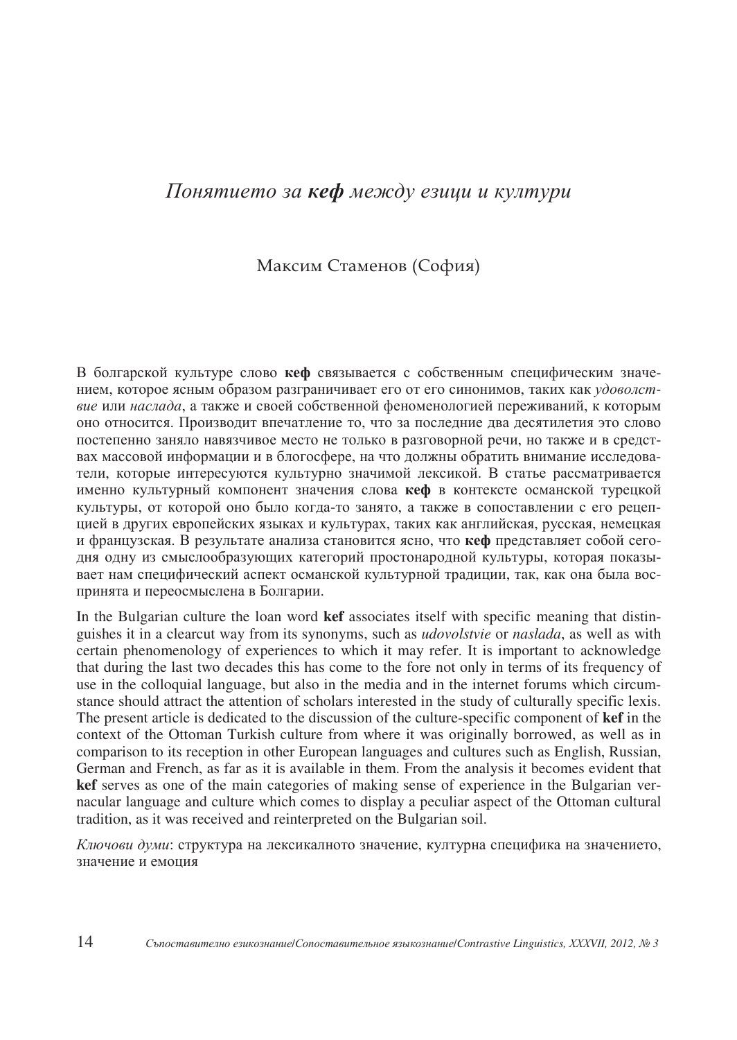## Понятието за **кеф** между езици и култури

## Максим Стаменов (София)

В болгарской культуре слово кеф связывается с собственным специфическим значением, которое ясным образом разграничивает его от его синонимов, таких как удоволствие или наслада, а также и своей собственной феноменологией переживаний, к которым оно относится. Производит впечатление то, что за последние два десятилетия это слово постепенно заняло навязчивое место не только в разговорной речи, но также и в средствах массовой информации и в блогосфере, на что должны обратить внимание исследователи, которые интересуются культурно значимой лексикой. В статье рассматривается именно культурный компонент значения слова кеф в контексте османской турецкой культуры, от которой оно было когда-то занято, а также в сопоставлении с его рецепцией в других европейских языках и культурах, таких как английская, русская, немецкая и французская. В результате анализа становится ясно, что кеф представляет собой сегодня одну из смыслообразующих категорий простонародной культуры, которая показывает нам специфический аспект османской культурной традиции, так, как она была воспринята и переосмыслена в Болгарии.

In the Bulgarian culture the loan word **kef** associates itself with specific meaning that distinguishes it in a clearcut way from its synonyms, such as *udovolstvie* or *naslada*, as well as with certain phenomenology of experiences to which it may refer. It is important to acknowledge that during the last two decades this has come to the fore not only in terms of its frequency of use in the colloquial language, but also in the media and in the internet forums which circumstance should attract the attention of scholars interested in the study of culturally specific lexis. The present article is dedicated to the discussion of the culture-specific component of **kef** in the context of the Ottoman Turkish culture from where it was originally borrowed, as well as in comparison to its reception in other European languages and cultures such as English, Russian, German and French, as far as it is available in them. From the analysis it becomes evident that **kef** serves as one of the main categories of making sense of experience in the Bulgarian vernacular language and culture which comes to display a peculiar aspect of the Ottoman cultural tradition, as it was received and reinterpreted on the Bulgarian soil.

Ключови думи: структура на лексикалното значение, културна специфика на значението, значение и емоция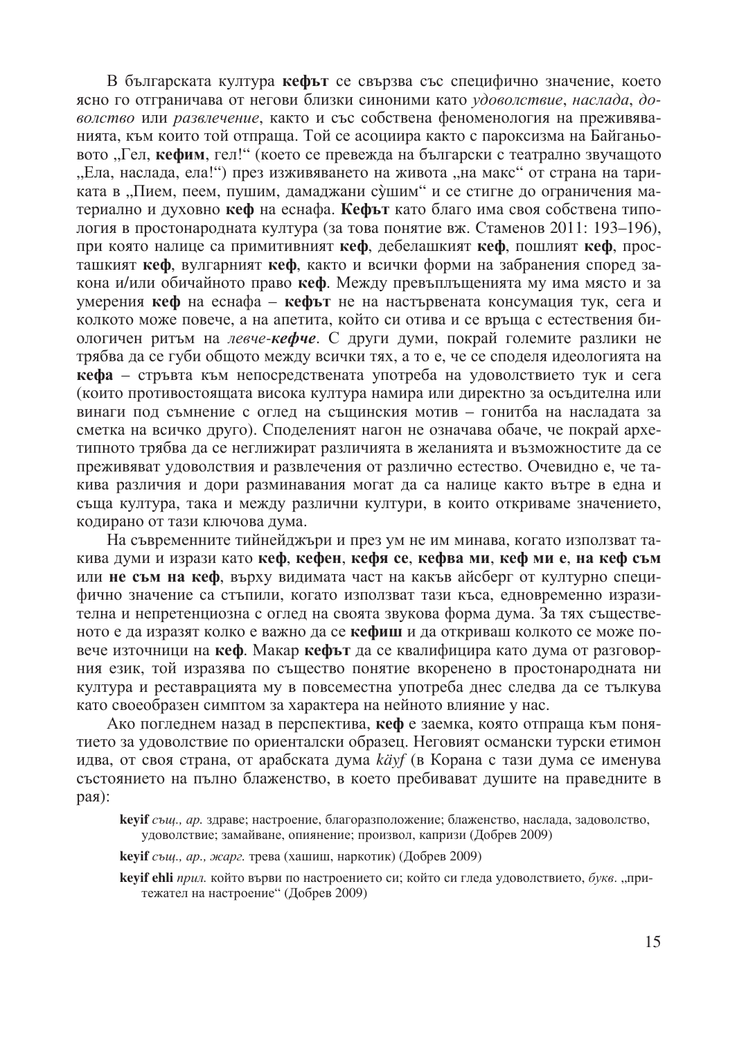В българската култура кефът се свързва със специфично значение, което ясно го отграничава от негови близки синоними като удоволствие, наслада, доволство или развлечение, както и със собствена феноменология на преживяванията, към които той отпраща. Той се асоциира както с пароксизма на Байганьовото "Гел, кефим, гел!" (което се превежда на български с театрално звучащото "Ела, наслада, ела!") през изживяването на живота "на макс" от страна на тариката в "Пием, пеем, пушим, дамаджани сушим" и се стигне до ограничения материално и духовно кеф на еснафа. Кефът като благо има своя собствена типология в простонародната култура (за това понятие вж. Стаменов 2011: 193-196), при която налице са примитивният кеф, дебелашкият кеф, пошлият кеф, просташкият кеф, вулгарният кеф, както и всички форми на забранения според закона и/или обичайното право кеф. Между превъплъщенията му има място и за умерения кеф на еснафа - кефът не на настървената консумация тук, сега и колкото може повече, а на апетита, който си отива и се връща с естествения биологичен ритьм на левче-кефче. С други думи, покрай големите разлики не трябва да се губи общото между всички тях, а то е, че се споделя идеологията на кефа - стръвта към непосредствената употреба на удоволствието тук и сега (които противостоящата висока култура намира или директно за осъдителна или винаги под съмнение с оглед на същинския мотив - гонитба на насладата за сметка на всичко лруго). Сполеленият нагон не означава обаче, че покрай архетипното трябва да се неглижират различията в желанията и възможностите да се преживяват удоволствия и развлечения от различно естество. Очевидно е, че такива различия и дори разминавания могат да са налице както вътре в една и съща култура, така и между различни култури, в които откриваме значението, кодирано от тази ключова дума.

На съвременните тийнейджъри и през ум не им минава, когато използват такива думи и изрази като кеф. кефен, кефя се, кефва ми, кеф ми е, на кеф съм или не съм на кеф, върху видимата част на какъв айсберг от културно специфично значение са стъпили, когато използват тази къса, едновременно изразителна и непретенциозна с оглед на своята звукова форма дума. За тях същественото е да изразят колко е важно да се кефиш и да откриваш колкото се може повече източници на кеф. Макар кефът да се квалифицира като дума от разговорния език, той изразява по същество понятие вкоренено в простонародната ни култура и реставрацията му в повсеместна употреба днес следва да се тълкува като своеобразен симптом за характера на нейното влияние у нас.

Ако погледнем назад в перспектива, кеф е заемка, която отпраща към понятието за удоволствие по ориенталски образец. Неговият османски турски етимон идва, от своя страна, от арабската дума *käyf* (в Корана с тази дума се именува състоянието на пълно блаженство, в което пребивават душите на праведните в рая):

keyif същ., ар., жарг. трева (хашиш, наркотик) (Добрев 2009)

keyif ehli прил. който върви по настроението си; който си гледа удоволствието, букв. "притежател на настроение" (Добрев 2009)

кеуі същ., ар. здраве; настроение, благоразположение; блаженство, наслада, задоволство, удоволствие; замайване, опиянение; произвол, капризи (Добрев 2009)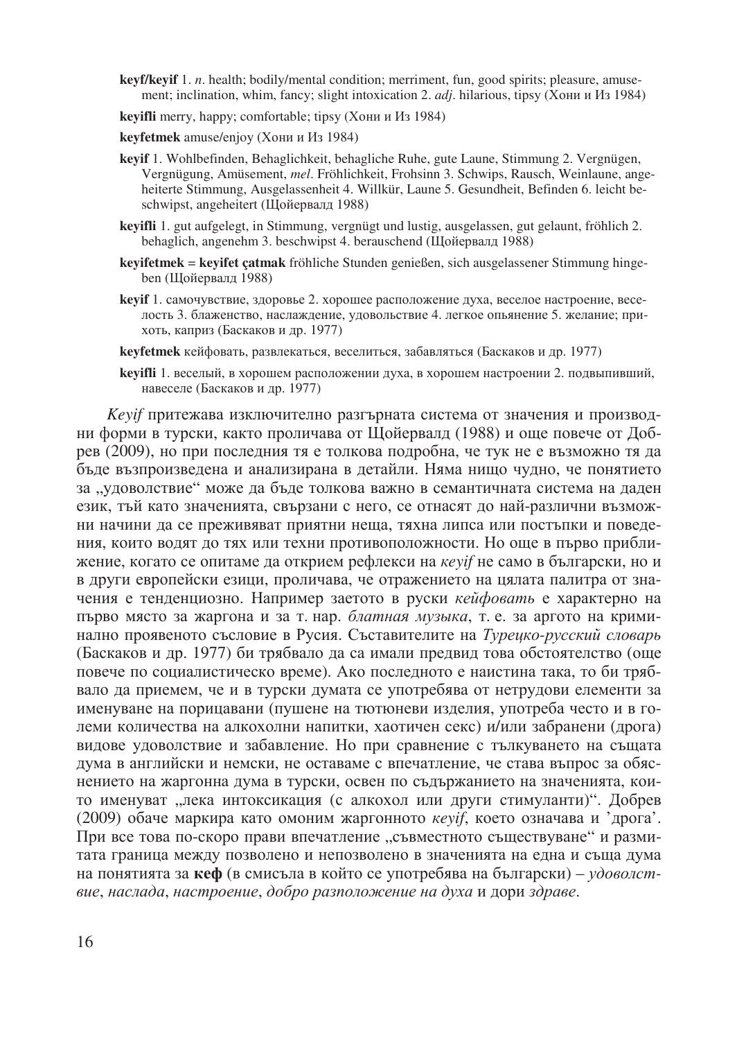- **keyf/keyif** 1. *n*. health; bodily/mental condition; merriment, fun, good spirits; pleasure, amusement; inclination, whim, fancy; slight intoxication 2. *adj*. hilarious, tipsy (Хони и Из 1984)
- **keyifli** merry, happy; comfortable; tipsy (Хони и Из 1984)
- **keyfetmek** amuse/enjoy (Хони и Из 1984)
- **keyif** 1. Wohlbefinden, Behaglichkeit, behagliche Ruhe, gute Laune, Stimmung 2. Vergnügen, Vergnügung, Amüsement, *mel*. Fröhlichkeit, Frohsinn 3. Schwips, Rausch, Weinlaune, angeheiterte Stimmung, Ausgelassenheit 4. Willkür, Laune 5. Gesundheit, Befinden 6. leicht beschwipst, angeheitert (Щойервалд 1988)
- **keyifli** 1. gut aufgelegt, in Stimmung, vergnügt und lustig, ausgelassen, gut gelaunt, fröhlich 2. behaglich, angenehm 3. beschwipst 4. berauschend (Щойервалд 1988)
- keyifetmek = keyifet çatmak fröhliche Stunden genießen, sich ausgelassener Stimmung hingeben (Щойервалд 1988)
- **kevif 1.** самочувствие, здоровье 2. хорошее расположение духа, веселое настроение, веселость 3. блаженство, наслаждение, удовольствие 4. легкое опьянение 5. желание; прихоть, каприз (Баскаков и др. 1977)
- **keyfetmek** кейфовать, развлекаться, веселиться, забавляться (Баскаков и др. 1977)
- **keyifli** 1. веселый, в хорошем расположении духа, в хорошем настроении 2. подвыпивший, навеселе (Баскаков и др. 1977)

*Keyif* притежава изключително разгърната система от значения и производни форми в турски, както проличава от Щойервалд (1988) и още повече от Добрев (2009), но при последния тя е толкова подробна, че тук не е възможно тя да бъде възпроизведена и анализирана в детайли. Няма нищо чудно, че понятието за "удоволствие" може да бъде толкова важно в семантичната система на даден език, тъй като значенията, свързани с него, се отнасят до най-различни възможни начини да се преживяват приятни неща, тяхна липса или постъпки и поведения, които водят до тях или техни противоположности. Но още в първо приближение, когато се опитаме да открием рефлекси на *кеуіf* не само в български, но и в други европейски езици, проличава, че отражението на цялата палитра от значения е тенденциозно. Например заетото в руски кейфовать е характерно на първо място за жаргона и за т. нар. блатная музыка, т. е. за аргото на криминално проявеното съсловие в Русия. Съставителите на *Турецко-русский словарь* (Баскаков и др. 1977) би трябвало да са имали предвид това обстоятелство (още повече по социалистическо време). Ако последното е наистина така, то би трябвало да приемем, че и в турски думата се употребява от нетрудови елементи за именуване на порицавани (пушене на тютюневи изделия, употреба често и в големи количества на алкохолни напитки, хаотичен секс) и/или забранени (дрога) видове удоволствие и забавление. Но при сравнение с тълкуването на същата дума в английски и немски, не оставаме с впечатление, че става въпрос за обяснението на жаргонна дума в турски, освен по съдържанието на значенията, които именуват "лека интоксикация (с алкохол или други стимуланти)". Добрев (2009) обаче маркира като омоним жаргонното *кеуіf*, което означава и 'дрога'. При все това по-скоро прави впечатление "съвместното съществуване" и размитата граница между позволено и непозволено в значенията на една и съща дума на понятията за **кеф** (в смисъла в който се употребява на български) – удоволствие, наслада, настроение, добро разположение на духа и дори здраве.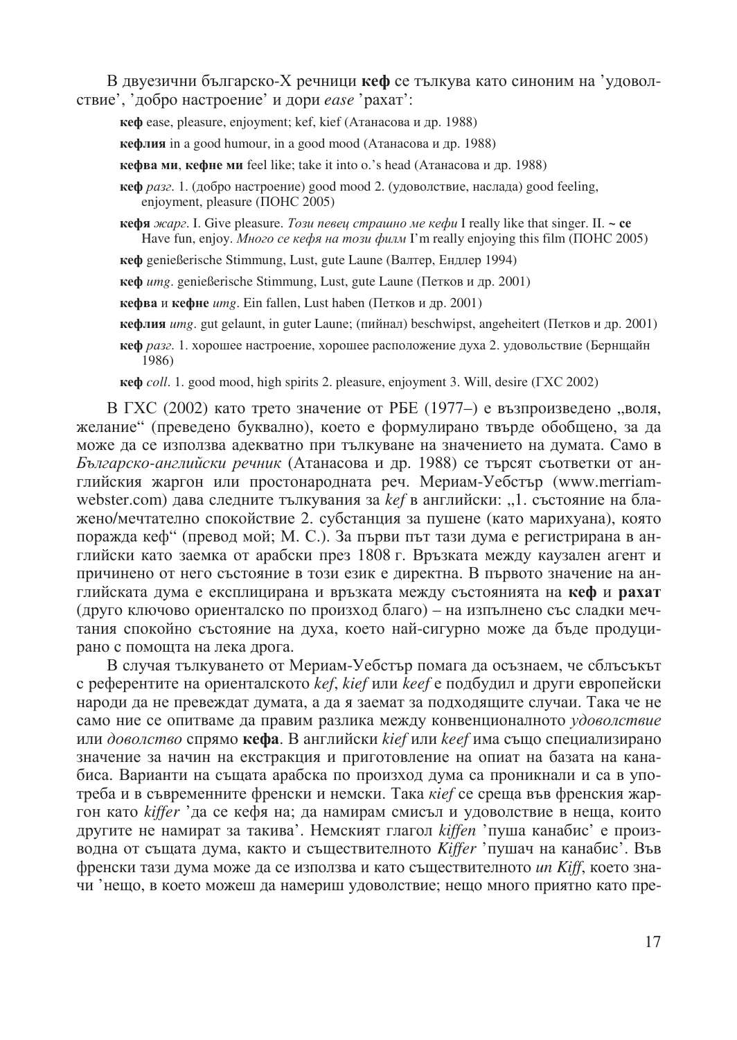В двуезични българско-Х речници кеф се тълкува като синоним на 'удоволствие', 'добро настроение' и дори *ease* 'рахат':

**кеф** ease, pleasure, enjoyment; kef, kief (Атанасова и др. 1988)

 $\kappa$ ефлия in a good humour, in a good mood (Атанасова и др. 1988)

кефва ми, кефне ми feel like; take it into o.'s head (Атанасова и др. 1988)

кефя жарг. I. Give pleasure. *Този певец страшно ме кефи* I really like that singer. II. ~ се Have fun, enjoy. *Много се кефя на този филм* I'm really enjoying this film (ПОНС 2005)

кеф genießerische Stimmung, Lust, gute Laune (Валтер, Ендлер 1994)

кеф *umg*. genießerische Stimmung, Lust, gute Laune (Петков и др. 2001)

кефва и кефне *umg*. Ein fallen, Lust haben (Петков и др. 2001)

**кефлия** umg. gut gelaunt, in guter Laune; (пийнал) beschwipst, angeheitert (Петков и др. 2001)

 $\kappa$ еф *разг.* 1. хорошее настроение, хорошее расположение духа 2. удовольствие (Бернщайн 1986)

**red**  $coll. 1$ . good mood, high spirits 2. pleasure, enjoyment 3. Will, desire  $(TXC 2002)$ 

В ГХС (2002) като трето значение от РБЕ (1977–) е възпроизведено "воля, желание" (преведено буквално), което е формулирано твърде обобщено, за да може да се използва адекватно при тълкуване на значението на думата. Само в Българско-английски речник (Атанасова и др. 1988) се търсят съответки от английския жаргон или простонародната реч. Мериам-Уебстър (www.merriamwebster.com) дава следните тълкувания за kef в английски: "1. състояние на блажено/мечтателно спокойствие 2. субстанция за пушене (като марихуана), която поражда кеф" (превод мой; М. С.). За първи път тази дума е регистрирана в английски като заемка от арабски през 1808 г. Връзката между каузален агент и причинено от него състояние в този език е директна. В първото значение на английската дума е експлицирана и връзката между състоянията на кеф и рахат (друго ключово ориенталско по произход благо) – на изпълнено със сладки мечтания спокойно състояние на духа, което най-сигурно може да бъде продуцирано с помощта на лека дрога.

В случая тълкуването от Мериам-Уебстър помага да осъзнаем, че сблъсъкът  $\epsilon$  референтите на ориенталското *kef, kief или keef* е подбудил и други европейски народи да не превеждат думата, а да я заемат за подходящите случаи. Така че не само ние се опитваме да правим разлика между конвенционалното удоволствие или доволство спрямо **кефа**. В английски *kief или keef и*ма също специализирано значение за начин на екстракция и приготовление на опиат на базата на канабиса. Варианти на същата арабска по произход дума са проникнали и са в употреба и в съвременните френски и немски. Така *кіе*f се среща във френския жаргон като kiffer 'да се кефя на; да намирам смисъл и удоволствие в неща, които другите не намират за такива'. Немският глагол kiffen 'пуша канабис' е производна от същата дума, както и съществителното Kiffer 'пушач на канабис'. Във френски тази дума може да се използва и като съществителното *un Kiff*, което значи 'нещо, в което можеш да намериш удоволствие; нещо много приятно като пре-

 $\kappa$ еф разг. 1. (добро настроение) good mood 2. (удоволствие, наслада) good feeling, enjoyment, pleasure (IIOHC 2005)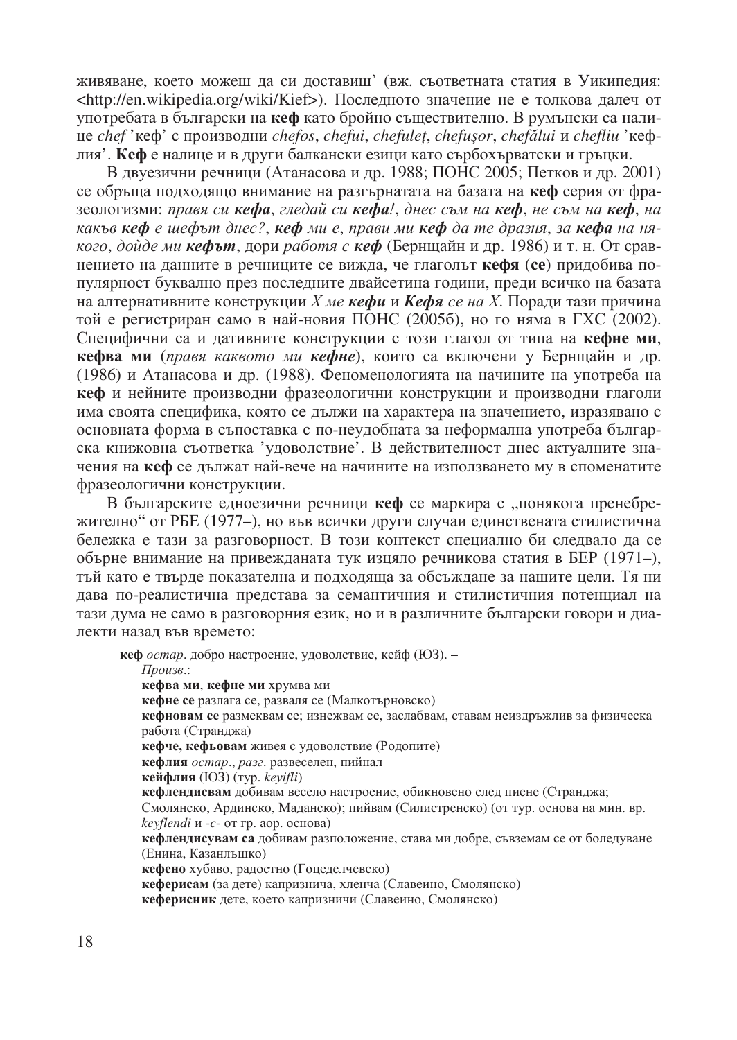живяване, което можеш да си доставиш' (вж. съответната статия в Уикипедия: <http://en.wikipedia.org/wiki/Kief>). Последното значение не е толкова далеч от употребата в български на кеф като бройно съществително. В румънски са налице chef'кеф' с производни chefos, chefui, chefulet, chefusor, chefălui и chefliu 'кефлия'. Кефе налице и в други балкански езици като сърбохърватски и гръцки.

В двуезични речници (Атанасова и др. 1988; ПОНС 2005; Петков и др. 2001) се обръща подходящо внимание на разгърнатата на базата на кеф серия от фразеологизми: правя си кефа, гледай си кефа!, днес съм на кеф, не съм на кеф, на какъв кеф е шефът днес?, кеф ми е, прави ми кеф да те дразня, за кефа на някого, дойде ми **кефът**, дори работя с **кеф** (Берншайн и др. 1986) и т. н. От сравнението на данните в речниците се вижда, че глаголът кефя (се) придобива популярност буквално през последните двайсетина години, преди всичко на базата на алтернативните конструкции X ме кефи и Кефя се на X. Поради тази причина той е регистриран само в най-новия ПОНС (2005б), но го няма в ГХС (2002). Специфични са и дативните конструкции с този глагол от типа на кефне ми, кефва ми (правя каквото ми кефне), които са включени у Бернщайн и др. (1986) и Атанасова и др. (1988). Феноменологията на начините на употреба на кеф и нейните производни фразеологични конструкции и производни глаголи има своята специфика, която се дължи на характера на значението, изразявано с основната форма в съпоставка с по-неудобната за неформална употреба българска книжовна съответка 'удоволствие'. В действителност днес актуалните значения на кеф се дължат най-вече на начините на използването му в споменатите фразеологични конструкции.

В българските едноезични речници кеф се маркира с "понякога пренебрежително" от РБЕ (1977–), но във всички други случаи единствената стилистична бележка е тази за разговорност. В този контекст специално би следвало да се обърне внимание на привежданата тук изцяло речникова статия в БЕР (1971-), тъй като е твърле показателна и полхоляша за обсъжлане за нашите цели. Тя ни дава по-реалистична представа за семантичния и стилистичния потенциал на тази дума не само в разговорния език, но и в различните български говори и диалекти назад във времето:

кеф остар. добро настроение, удоволствие, кейф (ЮЗ). -Произв.: кефва ми, кефне ми хрумва ми кефне се разлага се, разваля се (Малкотърновско) кефновам се размеквам се; изнежвам се, заслабвам, ставам неиздръжлив за физическа работа (Странджа) кефче, кефьовам живея с удоволствие (Родопите) кефлия остар., разг. развеселен, пийнал кейфлия (ЮЗ) (тур. keyifli) кефлендисвам добивам весело настроение, обикновено след пиене (Странджа; Смолянско, Ардинско, Маданско); пийвам (Силистренско) (от тур. основа на мин. вр. keyflendi и -c- от гр. аор. основа) кефлендисувам са добивам разположение, става ми добре, съвземам се от боледуване (Енина, Казанлъшко) кефено хубаво, радостно (Гоцеделчевско) кеферисам (за дете) капризнича, хленча (Славеино, Смолянско) кеферисник дете, което капризничи (Славеино, Смолянско)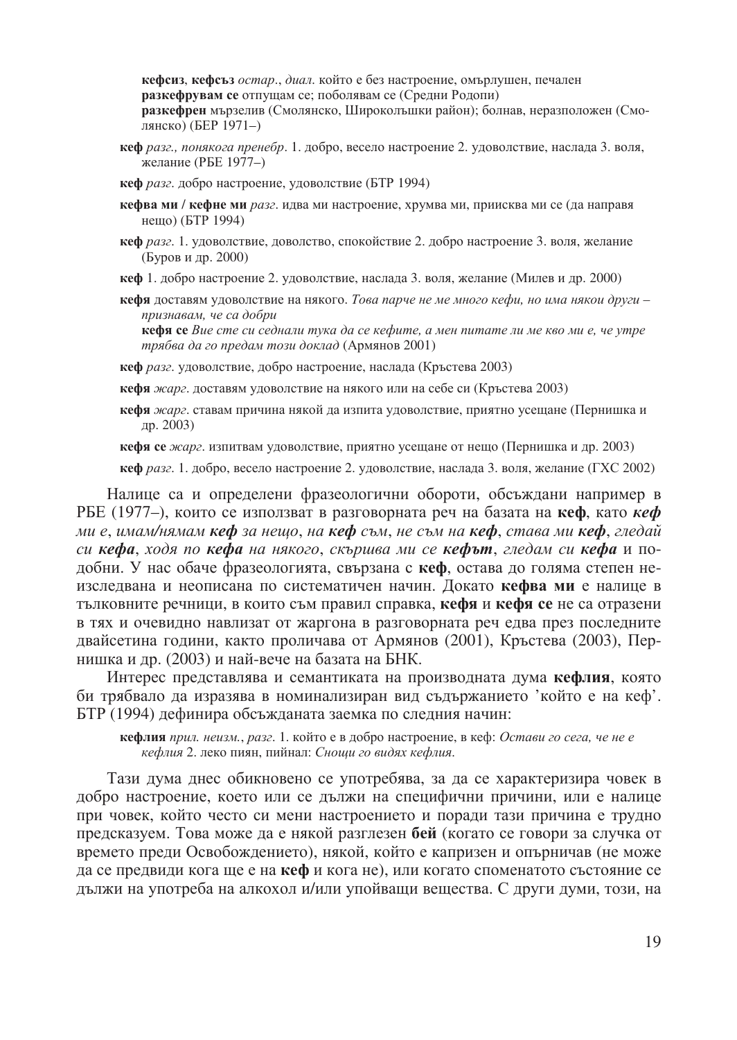кефсиз, кефсъз остар., диал. който е без настроение, омърлушен, печален разкефрувам се отпущам се; поболявам се (Средни Родопи) разкефрен мързелив (Смолянско, Широколъшки район); болнав, неразположен (Смолянско) (БЕР 1971-)

кеф разг., понякога пренебр. 1. добро, весело настроение 2. удоволствие, наслада 3. воля, желание (РБЕ 1977-)

кеф разг. добро настроение, удоволствие (БТР 1994)

- кефва ми / кефне ми разг. идва ми настроение, хрумва ми, приисква ми се (да направя нещо) (БТР 1994)
- кеф разг. 1. удоволствие, доволство, спокойствие 2. добро настроение 3. воля, желание (Буров и др. 2000)
- кеф 1. добро настроение 2. удоволствие, наслада 3. воля, желание (Милев и др. 2000)
- кефя доставям удоволствие на някого. Това парче не ме много кефи, но има някои други признавам, че са добри

кефя се Вие сте си седнали тука да се кефите, а мен питате ли ме кво ми е, че утре трябва да го предам този доклад (Армянов 2001)

кеф разг. удоволствие, добро настроение, наслада (Кръстева 2003)

кефя жарг. доставям удоволствие на някого или на себе си (Кръстева 2003)

кефя жарг. ставам причина някой да изпита удоволствие, приятно усещане (Пернишка и др. 2003)

кефя се жарг. изпитвам удоволствие, приятно усещане от нещо (Пернишка и др. 2003)

кеф разг. 1. добро, весело настроение 2. удоволствие, наслада 3. воля, желание (ГХС 2002)

Налице са и определени фразеологични обороти, обсъждани например в РБЕ (1977–), които се използват в разговорната реч на базата на кеф, като кеф ми е, имам/нямам кеф за нешо, на кеф съм, не съм на кеф, става ми кеф, гледай си кефа, ходя по кефа на някого, скършва ми се кефът, гледам си кефа и подобни. У нас обаче фразеологията, свързана с кеф, остава до голяма степен неизследвана и неописана по систематичен начин. Докато кефва ми е налице в тълковните речници, в които съм правил справка, кефя и кефя се не са отразени в тях и очевидно навлизат от жаргона в разговорната реч едва през последните двайсетина години, както проличава от Армянов (2001), Кръстева (2003), Пернишка и др. (2003) и най-вече на базата на БНК.

Интерес представлява и семантиката на производната дума кефлия, която би трябвало да изразява в номинализиран вид съдържанието 'който е на кеф'. БТР (1994) дефинира обсъжданата заемка по следния начин:

кефлия прил. неизм., разг. 1. който е в добро настроение, в кеф: Остави го сега, че не е кефлия 2. леко пиян, пийнал: Снощи го видях кефлия.

Тази дума днес обикновено се употребява, за да се характеризира човек в добро настроение, което или се дължи на специфични причини, или е налице при човек, който често си мени настроението и поради тази причина е трудно предсказуем. Това може да е някой разглезен бей (когато се говори за случка от времето преди Освобождението), някой, който е капризен и опърничав (не може да се предвиди кога ще е на кеф и кога не), или когато споменатото състояние се дължи на употреба на алкохол и/или упойващи вещества. С други думи, този, на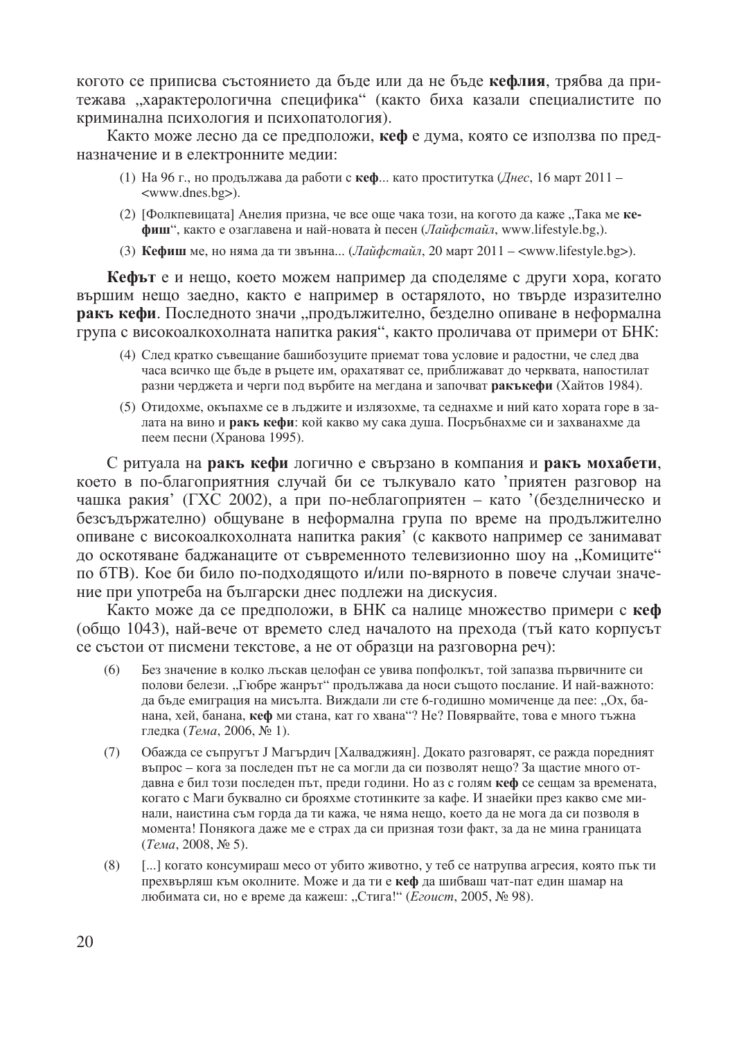когото се приписва състоянието да бъде или да не бъде кефлия, трябва да притежава "характерологична специфика" (както биха казали специалистите по криминална психология и психопатология).

Както може лесно да се предположи, кеф е дума, която се използва по предназначение и в електронните медии:

- (1) На 96 г., но продължава да работи с кеф... като проститутка (Днес, 16 март 2011 <www.dnes.bg>).
- (2) [Фолкпевицата] Анелия призна, че все още чака този, на когото да каже "Така ме кефиш", както е озаглавена и най-новата ѝ песен (Лайфстайл, www.lifestyle.bg,).
- (3) Кефиш ме, но няма да ти звънна... (Лайфстайл, 20 март 2011 <www.lifestyle.bg>).

Кефът е и нещо, което можем например да споделяме с други хора, когато вършим нещо заедно, както е например в остарялото, но твърде изразително ракъ кефи. Последното значи "продължително, безделно опиване в неформална група с високоалкохолната напитка ракия", както проличава от примери от БНК:

- (4) След кратко съвещание башибозуците приемат това условие и радостни, че след два часа всичко ще бъде в ръцете им, орахатяват се, приближават до черквата, напостилат разни черджета и черги под върбите на мегдана и започват ракъкефи (Хайтов 1984).
- (5) Отидохме, окъпахме се в лъджите и излязохме, та седнахме и ний като хората горе в залата на вино и ракъ кефи: кой какво му сака душа. Посръбнахме си и захванахме да пеем песни (Хранова 1995).

С ритуала на ракъ кефи логично е свързано в компания и ракъ мохабети, което в по-благоприятния случай би се тълкувало като 'приятен разговор на чашка ракия' (ГХС 2002), а при по-неблагоприятен - като '(безделническо и безсъдържателно) общуване в неформална група по време на продължително опиване с високоалкохолната напитка ракия' (с каквото например се занимават до оскотяване баджанаците от съвременното телевизионно шоу на "Комиците" по 6ТВ). Кое би било по-подходящото и/или по-вярното в повече случаи значение при употреба на български днес подлежи на дискусия.

Както може да се предположи, в БНК са налице множество примери с кеф (общо 1043), най-вече от времето след началото на прехода (тъй като корпусът се състои от писмени текстове, а не от образци на разговорна реч):

- $(6)$ Без значение в колко лъскав целофан се увива попфолкът, той запазва първичните си полови белези. "Гюбре жанрът" продължава да носи същото послание. И най-важното: да бъде емиграция на мисълта. Виждали ли сте 6-годишно момиченце да пее: "Ох, банана, хей, банана, кеф ми стана, кат го хвана"? Не? Повярвайте, това е много тъжна гледка (Тема, 2006, № 1).
- Обажда се съпругът Ј Магърдич [Халваджиян]. Докато разговарят, се ражда поредният  $(7)$ въпрос - кога за последен път не са могли да си позволят нещо? За щастие много отдавна е бил този последен път, преди години. Но аз с голям кеф се сещам за времената, когато с Маги буквално си брояхме стотинките за кафе. И знаейки през какво сме минали, наистина съм горда да ти кажа, че няма нещо, което да не мога да си позволя в момента! Понякога даже ме е страх да си призная този факт, за да не мина границата (Тема, 2008, № 5).
- [...] когато консумираш месо от убито животно, у теб се натрупва агресия, която пък ти  $(8)$ прехвърляш към околните. Може и да ти е кеф да шибваш чат-пат един шамар на любимата си, но е време да кажеш: "Стига!" (Егоист, 2005, № 98).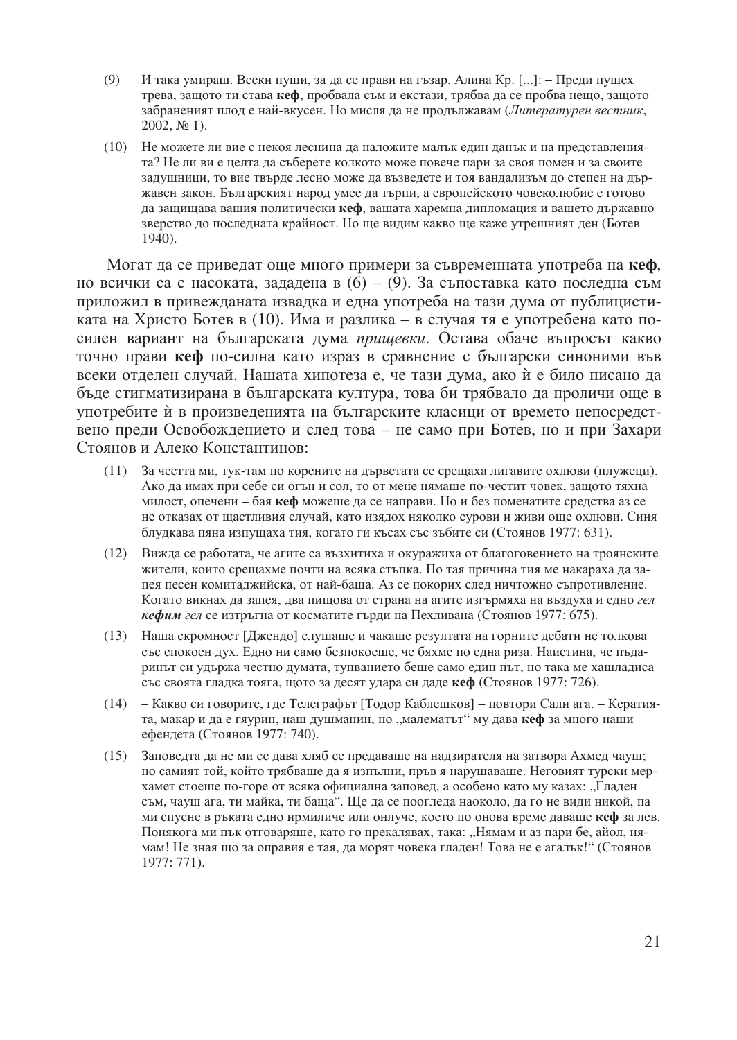- $(9)$ И така умираш. Всеки пуши, за да се прави на гъзар. Алина Кр. [...]: – Преди пушех трева, защото ти става кеф, пробвала съм и екстази, трябва да се пробва нещо, защото забраненият плод е най-вкусен. Но мисля да не продължавам (Литературен вестник,  $2002, N<sub>2</sub> 1$ ).
- (10) Не можете ли вие с некоя леснина да наложите малък един данък и на представленията? Не ли ви е целта да съберете колкото може повече пари за своя помен и за своите задушници, то вие твърде лесно може да възведете и тоя вандализъм до степен на държавен закон. Българският народ умее да търпи, а европейското човеколюбие е готово да защищава вашия политически кеф, вашата харемна дипломация и вашето държавно зверство до последната крайност. Но ще видим какво ще каже утрешният ден (Ботев 1940).

Могат да се приведат още много примери за съвременната употреба на кеф. но всички са с насоката, зададена в  $(6) - (9)$ . За съпоставка като последна съм приложил в привежданата извадка и една употреба на тази дума от публицистиката на Христо Ботев в (10). Има и разлика – в случая тя е употребена като посилен вариант на българската дума пришевки. Остава обаче въпросът какво точно прави кеф по-силна като израз в сравнение с български синоними във всеки отделен случай. Нашата хипотеза е, че тази дума, ако ѝ е било писано да бъде стигматизирана в българската култура, това би трябвало да проличи още в употребите ѝ в произведенията на българските класици от времето непосредствено преди Освобождението и след това - не само при Ботев, но и при Захари Стоянов и Алеко Константинов:

- За честта ми, тук-там по корените на дърветата се срещаха лигавите охлюви (плужеци).  $(11)$ Ако да имах при себе си огън и сол, то от мене нямаше по-честит човек, защото тяхна милост, опечени – бая кеф можеше да се направи. Но и без поменатите средства аз се не отказах от щастливия случай, като изядох няколко сурови и живи още охлюви. Синя блудкава пяна изпущаха тия, когато ги късах със зъбите си (Стоянов 1977: 631).
- (12) Вижда се работата, че агите са възхитиха и окуражиха от благоговението на троянските жители, които срещахме почти на всяка стъпка. По тая причина тия ме накараха да запея песен комитаджийска, от най-баша. Аз се покорих след ничтожно съпротивление. Когато викнах да запея, два пищова от страна на агите изгърмяха на въздуха и едно гел кефим гел се изтръгна от косматите гърди на Пехливана (Стоянов 1977: 675).
- (13) Наша скромност [Джендо] слушаше и чакаше резултата на горните дебати не толкова със спокоен дух. Едно ни само безпокоеше, че бяхме по една риза. Наистина, че пъдаринът си удържа честно думата, тупванието беше само един път, но така ме хашладиса със своята гладка тояга, щото за десят удара си даде кеф (Стоянов 1977: 726).
- (14) Какво си говорите, где Телеграфът [Тодор Каблешков] повтори Сали ага. Кератията, макар и да е гяурин, наш душманин, но "малематът" му дава кеф за много наши ефендета (Стоянов 1977: 740).
- (15) Заповедта да не ми се дава хляб се предаваше на надзирателя на затвора Ахмед чауш; но самият той, който трябваше да я изпълни, пръв я нарушаваше. Неговият турски мерхамет стоеше по-горе от всяка официална заповед, а особено като му казах: "Гладен съм, чауш ага, ти майка, ти баща". Ще да се поогледа наоколо, да го не види никой, па ми спусне в ръката едно ирмиличе или онлуче, което по онова време даваше кеф за лев. Понякога ми пък отговаряще, като го прекалявах, така: "Нямам и аз пари бе, айол, нямам! Не зная що за оправия е тая, да морят човека гладен! Това не е агалък!" (Стоянов 1977: 771).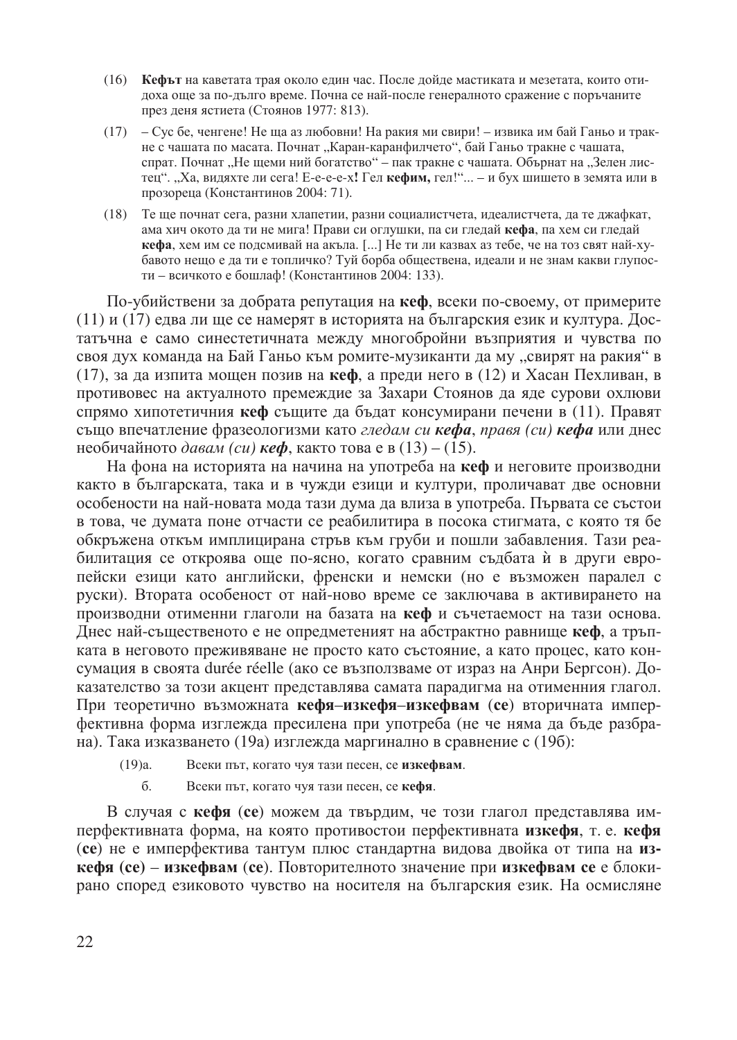- (16) Кефьт на каветата трая около един час. После дойде мастиката и мезетата, които отидоха още за по-дълго време. Почна се най-после генералното сражение с поръчаните през деня ястиета (Стоянов 1977: 813).
- (17) Сус бе, ченгене! Не ща аз любовни! На ракия ми свири! извика им бай Ганьо и тракне с чашата по масата. Почнат "Каран-каранфилчето", бай Ганьо тракне с чашата, спрат. Почнат "Не щеми ний богатство" – пак тракне с чашата. Обърнат на "Зелен листец". "Ха, видяхте ли сега! Е-е-е-е-х! Гел кефим, гел!"... - и бух шишето в земята или в прозореца (Константинов 2004: 71).
- (18) Те ще почнат сега, разни хлапетии, разни социалистчета, идеалистчета, да те джафкат, ама хич окото да ти не мига! Прави си оглушки, па си гледай кефа, па хем си гледай кефа, хем им се подсмивай на акъла. [...] Не ти ли казвах аз тебе, че на тоз свят най-хубавото нещо е да ти е топличко? Туй борба обществена, идеали и не знам какви глупости - всичкото е бошлаф! (Константинов 2004: 133).

По-убийствени за добрата репутация на кеф, всеки по-своему, от примерите (11) и (17) едва ли ще се намерят в историята на българския език и култура. Достатьчна е само синестетичната между многобройни възприятия и чувства по своя дух команда на Бай Ганьо към ромите-музиканти да му "свирят на ракия" в (17), за да изпита мощен позив на кеф, а преди него в (12) и Хасан Пехливан, в противовес на актуалното премеждие за Захари Стоянов да яде сурови охлюви спрямо хипотетичния кеф същите да бъдат консумирани печени в (11). Правят също впечатление фразеологизми като гледам си кефа, правя (си) кефа или днес необичайното давам (*cu*) **кеф**, както това е в (13) – (15).

На фона на историята на начина на употреба на кеф и неговите производни както в българската, така и в чужди езици и култури, проличават две основни особености на най-новата мода тази дума да влиза в употреба. Първата се състои в това, че думата поне отчасти се реабилитира в посока стигмата, с която тя бе обкръжена откъм имплицирана стръв към груби и пошли забавления. Тази реабилитация се откроява още по-ясно, когато сравним съдбата ѝ в други европейски езици като английски, френски и немски (но е възможен паралел с руски). Втората особеност от най-ново време се заключава в активирането на производни отименни глаголи на базата на кеф и съчетаемост на тази основа. Днес най-същественото е не опредметеният на абстрактно равнище кеф, а тръпката в неговото преживяване не просто като състояние, а като процес, като консумация в своята durée réelle (ако се възползваме от израз на Анри Бергсон). Доказателство за този акцент представлява самата парадигма на отименния глагол. При теоретично възможната кефя-изкефя-изкефвам (се) вторичната имперфективна форма изглежда пресилена при употреба (не че няма да бъде разбрана). Така изказването (19а) изглежда маргинално в сравнение с (19б):

- Всеки път, когато чуя тази песен, се изкефвам.  $(19)a.$ 
	- $\sigma$ . Всеки път, когато чуя тази песен, се кефя.

В случая с кефя (се) можем да твърдим, че този глагол представлява имперфективната форма, на която противостои перфективната изкефя, т. е. кефя (ce) не е имперфектива тантум плюс стандартна видова двойка от типа на изкефя (се) – изкефвам (се). Повторителното значение при изкефвам се е блокирано според езиковото чувство на носителя на българския език. На осмисляне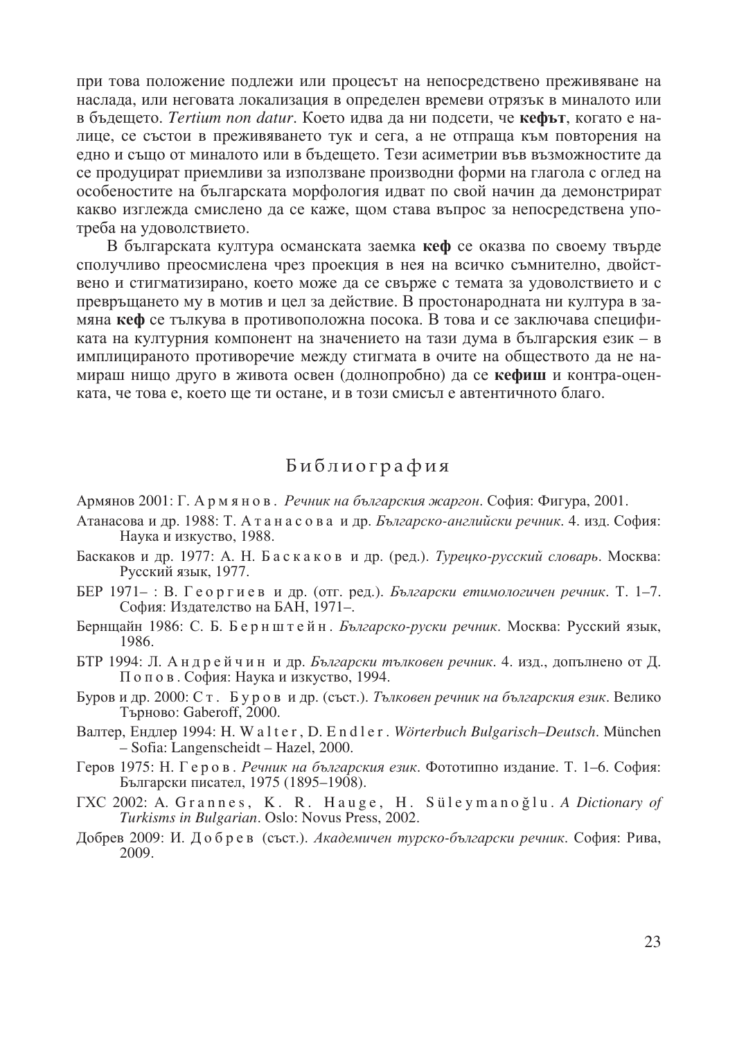при това положение подлежи или процесът на непосредствено преживяване на наслада, или неговата локализация в определен времеви отрязък в миналото или в бълещето. Tertium non datur. Което идва да ни подсети, че кефът, когато е налице, се състои в преживяването тук и сега, а не отпраща към повторения на едно и също от миналото или в бъдещето. Тези асиметрии във възможностите да се продуцират приемливи за използване производни форми на глагола с оглед на особеностите на българската морфология идват по свой начин да демонстрират какво изглежда смислено да се каже, щом става въпрос за непосредствена употреба на удоволствието.

В българската култура османската заемка кеф се оказва по своему твърле сполучливо преосмислена чрез проекция в нея на всичко съмнително, двойствено и стигматизирано, което може да се свърже с темата за удоволствието и с превръщането му в мотив и цел за действие. В простонародната ни култура в замяна кеф се тълкува в противоположна посока. В това и се заключава спецификата на културния компонент на значението на тази дума в българския език - в имплицираното противоречие между стигмата в очите на обществото да не намираш нищо друго в живота освен (долнопробно) да се кефиш и контра-оценката, че това е, което ще ти остане, и в този смисъл е автентичното благо.

## Библиография

- Армянов 2001: Г. Армянов. Речник на българския жаргон. София: Фигура, 2001.
- Атанасова и др. 1988: Т. А танасова и др. Българско-английски речник. 4. изд. София: Наука и изкуство, 1988.
- Баскаков и др. 1977: А. Н. Баскаков и др. (ред.). Туречко-русский словарь. Москва: Русский язык, 1977.
- БЕР 1971-: В. Георгиев и др. (отг. ред.). *Български етимологичен речник*. Т. 1–7. София: Издателство на БАН, 1971-.
- Бернщайн 1986: С. Б. Бернштейн. Българско-руски речник. Москва: Русский язык, 1986.
- БТР 1994: Л. Андрейчин и др. Български тълковен речник. 4. изд., допълнено от Д. Попов. София: Наука и изкуство, 1994.
- Буров и др. 2000: Ст. Буров и др. (съст.). Тълковен речник на българския език. Велико Търново: Gaberoff, 2000.
- Валтер, Ендлер 1994: H. Walter, D. Endler. Wörterbuch Bulgarisch-Deutsch. München - Sofia: Langenscheidt - Hazel, 2000.
- Геров 1975: Н. Геров. Речник на българския език. Фототипно издание. Т. 1-6. София: Български писател, 1975 (1895-1908).
- TXC 2002: A. Grannes, K. R. Hauge, H. Süleymanoğlu. A Dictionary of Turkisms in Bulgarian. Oslo: Novus Press, 2002.
- Добрев 2009: И. Добрев (съст.). Академичен турско-български речник. София: Рива, 2009.